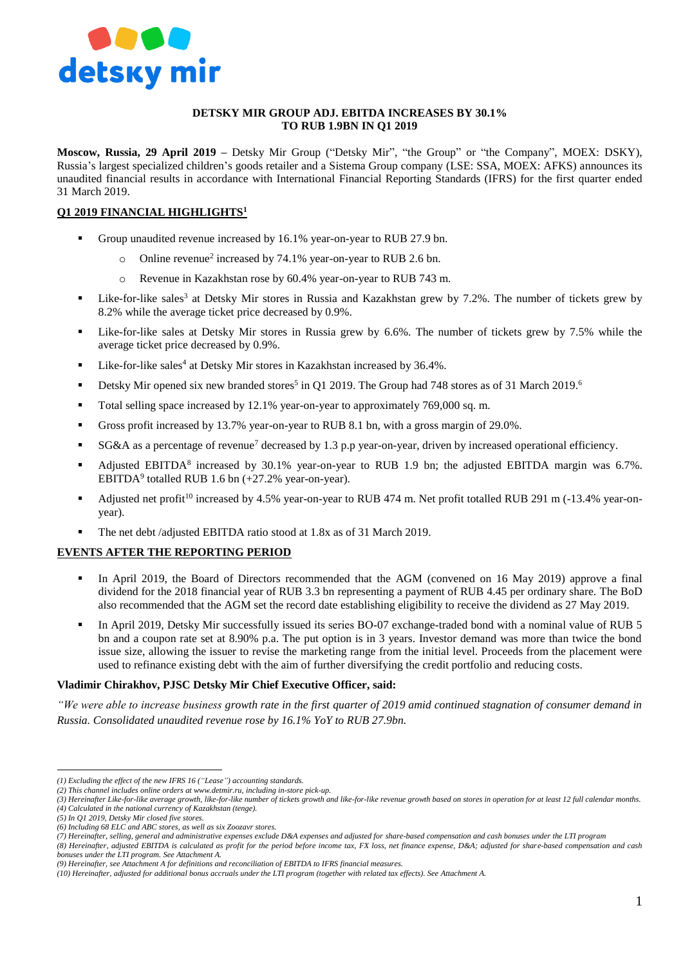

### **DETSKY MIR GROUP ADJ. EBITDA INCREASES BY 30.1% TO RUB 1.9BN IN Q1 2019**

**Moscow, Russia, 29 April 2019 –** Detsky Mir Group ("Detsky Mir", "the Group" or "the Company", MOEX: DSKY), Russia's largest specialized children's goods retailer and a Sistema Group company (LSE: SSA, MOEX: AFKS) announces its unaudited financial results in accordance with International Financial Reporting Standards (IFRS) for the first quarter ended 31 March 2019.

# **Q1 2019 FINANCIAL HIGHLIGHTS<sup>1</sup>**

- Group unaudited revenue increased by 16.1% year-on-year to RUB 27.9 bn.
	- o Online revenue<sup>2</sup> increased by 74.1% year-on-year to RUB 2.6 bn.
	- o Revenue in Kazakhstan rose by 60.4% year-on-year to RUB 743 m.
- Like-for-like sales<sup>3</sup> at Detsky Mir stores in Russia and Kazakhstan grew by 7.2%. The number of tickets grew by 8.2% while the average ticket price decreased by 0.9%.
- Like-for-like sales at Detsky Mir stores in Russia grew by 6.6%. The number of tickets grew by 7.5% while the average ticket price decreased by 0.9%.
- Uike-for-like sales<sup>4</sup> at Detsky Mir stores in Kazakhstan increased by 36.4%.
- Detsky Mir opened six new branded stores<sup>5</sup> in Q1 2019. The Group had 748 stores as of 31 March 2019.<sup>6</sup>
- Total selling space increased by 12.1% year-on-year to approximately 769,000 sq. m.
- Gross profit increased by 13.7% year-on-year to RUB 8.1 bn, with a gross margin of 29.0%.
- SG&A as a percentage of revenue<sup>7</sup> decreased by 1.3 p.p year-on-year, driven by increased operational efficiency.
- Adjusted EBITDA<sup>8</sup> increased by 30.1% year-on-year to RUB 1.9 bn; the adjusted EBITDA margin was 6.7%. EBITDA<sup>9</sup> totalled RUB 1.6 bn (+27.2% year-on-year).
- Adjusted net profit<sup>10</sup> increased by 4.5% year-on-year to RUB 474 m. Net profit totalled RUB 291 m (-13.4% year-onyear).
- The net debt /adjusted EBITDA ratio stood at 1.8x as of 31 March 2019.

# **EVENTS AFTER THE REPORTING PERIOD**

- In April 2019, the Board of Directors recommended that the AGM (convened on 16 May 2019) approve a final dividend for the 2018 financial year of RUB 3.3 bn representing a payment of RUB 4.45 per ordinary share. The BoD also recommended that the AGM set the record date establishing eligibility to receive the dividend as 27 May 2019.
- In April 2019, Detsky Mir successfully issued its series BО-07 exchange-traded bond with a nominal value of RUB 5 bn and a coupon rate set at 8.90% p.a. The put option is in 3 years. Investor demand was more than twice the bond issue size, allowing the issuer to revise the marketing range from the initial level. Proceeds from the placement were used to refinance existing debt with the aim of further diversifying the credit portfolio and reducing costs.

#### **Vladimir Chirakhov, PJSC Detsky Mir Chief Executive Officer, said:**

*"We were able to increase business growth rate in the first quarter of 2019 amid continued stagnation of consumer demand in Russia. Consolidated unaudited revenue rose by 16.1% YoY to RUB 27.9bn.* 

 $\overline{a}$ 

*<sup>(1)</sup> Excluding the effect of the new IFRS 16 ("Lease") accounting standards.* 

*<sup>(2)</sup> This channel includes online orders at [www.detmir.ru,](http://www.detmir.ru/) including in-store pick-up.*

*<sup>(3)</sup> Hereinafter Like-for-like average growth, like-for-like number of tickets growth and like-for-like revenue growth based on stores in operation for at least 12 full calendar months. (4) Calculated in the national currency of Kazakhstan (tenge).*

*<sup>(5)</sup> In Q1 2019, Detsky Mir closed five stores.*

*<sup>(6)</sup> Including 68 ELC and ABC stores, as well as six Zoozavr stores.* 

*<sup>(7)</sup> Hereinafter, selling, general and administrative expenses exclude D&A expenses and adjusted for share-based compensation and cash bonuses under the LTI program*

*<sup>(8)</sup> Hereinafter, adjusted EBITDA is calculated as profit for the period before income tax, FX loss, net finance expense, D&A; adjusted for share-based compensation and cash bonuses under the LTI program. See Attachment A.*

*<sup>(9)</sup> Hereinafter, see Attachment A for definitions and reconciliation of EBITDA to IFRS financial measures.*

*<sup>(10)</sup> Hereinafter, adjusted for additional bonus accruals under the LTI program (together with related tax effects). See Attachment A.*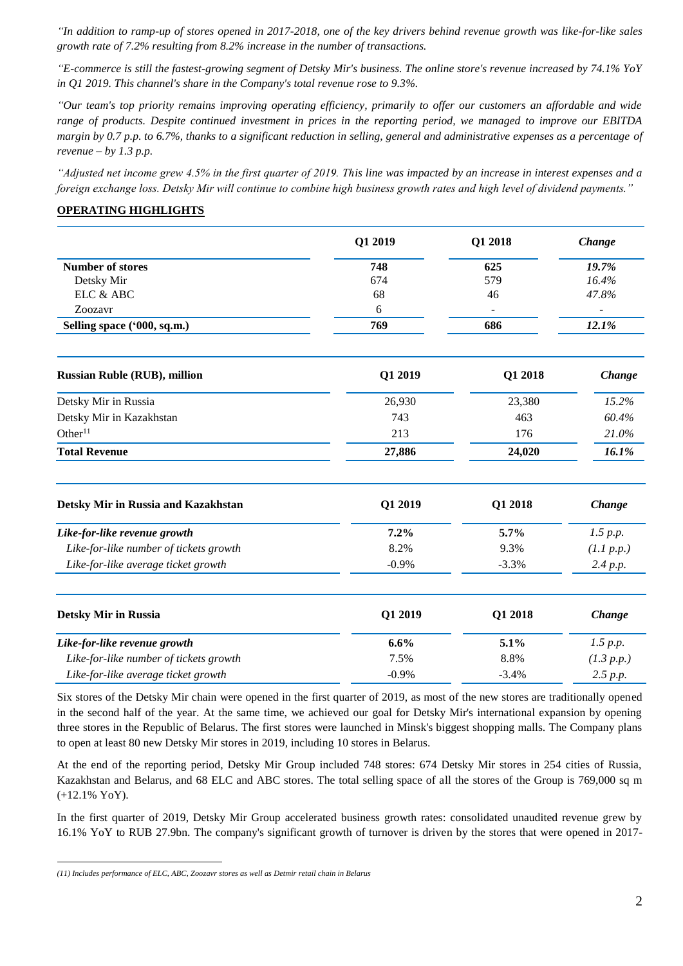*"In addition to ramp-up of stores opened in 2017-2018, one of the key drivers behind revenue growth was like-for-like sales growth rate of 7.2% resulting from 8.2% increase in the number of transactions.* 

*"E-commerce is still the fastest-growing segment of Detsky Mir's business. The online store's revenue increased by 74.1% YoY in Q1 2019. This channel's share in the Company's total revenue rose to 9.3%.* 

*"Our team's top priority remains improving operating efficiency, primarily to offer our customers an affordable and wide range of products. Despite continued investment in prices in the reporting period, we managed to improve our EBITDA margin by 0.7 p.p. to 6.7%, thanks to a significant reduction in selling, general and administrative expenses as a percentage of revenue – by 1.3 p.p.*

*"Adjusted net income grew 4.5% in the first quarter of 2019. This line was impacted by an increase in interest expenses and a foreign exchange loss. Detsky Mir will continue to combine high business growth rates and high level of dividend payments."*

# **OPERATING HIGHLIGHTS**

|                                        | Q1 2019 | Q1 2018 | Change<br>19.7%<br>16.4%<br>47.8% |  |
|----------------------------------------|---------|---------|-----------------------------------|--|
| <b>Number of stores</b>                | 748     | 625     |                                   |  |
| Detsky Mir                             | 674     | 579     |                                   |  |
| ELC & ABC                              | 68      | 46      |                                   |  |
| Zoozavr                                | 6       |         |                                   |  |
| Selling space ('000, sq.m.)            | 769     | 686     | 12.1%                             |  |
| <b>Russian Ruble (RUB), million</b>    | Q1 2019 | Q1 2018 | Change                            |  |
| Detsky Mir in Russia                   | 26,930  | 23,380  | 15.2%<br>60.4%<br>21.0%           |  |
| Detsky Mir in Kazakhstan               | 743     | 463     |                                   |  |
| Other <sup>11</sup>                    | 213     | 176     |                                   |  |
| <b>Total Revenue</b>                   | 27,886  | 24,020  | 16.1%                             |  |
| Detsky Mir in Russia and Kazakhstan    | Q1 2019 | Q1 2018 | Change                            |  |
| Like-for-like revenue growth           | 7.2%    | 5.7%    | 1.5 p.p.                          |  |
| Like-for-like number of tickets growth | 8.2%    | 9.3%    | (1.1 p.p.)                        |  |
| Like-for-like average ticket growth    | $-0.9%$ | $-3.3%$ | 2.4 p.p.                          |  |
| <b>Detsky Mir in Russia</b>            | Q1 2019 | Q1 2018 | Change                            |  |
| Like-for-like revenue growth           | 6.6%    | 5.1%    | 1.5 p.p.                          |  |
| Like-for-like number of tickets growth | 7.5%    | 8.8%    | (1.3 p.p.)                        |  |
| Like-for-like average ticket growth    | $-0.9%$ | $-3.4%$ | 2.5 p.p.                          |  |
|                                        |         |         |                                   |  |

Six stores of the Detsky Mir chain were opened in the first quarter of 2019, as most of the new stores are traditionally opened in the second half of the year. At the same time, we achieved our goal for Detsky Mir's international expansion by opening three stores in the Republic of Belarus. The first stores were launched in Minsk's biggest shopping malls. The Company plans to open at least 80 new Detsky Mir stores in 2019, including 10 stores in Belarus.

At the end of the reporting period, Detsky Mir Group included 748 stores: 674 Detsky Mir stores in 254 cities of Russia, Kazakhstan and Belarus, and 68 ELC and ABC stores. The total selling space of all the stores of the Group is 769,000 sq m (+12.1% YoY).

In the first quarter of 2019, Detsky Mir Group accelerated business growth rates: consolidated unaudited revenue grew by 16.1% YoY to RUB 27.9bn. The company's significant growth of turnover is driven by the stores that were opened in 2017-

 $\overline{a}$ *(11) Includes performance of ELC, ABC, Zoozavr stores as well as Detmir retail chain in Belarus*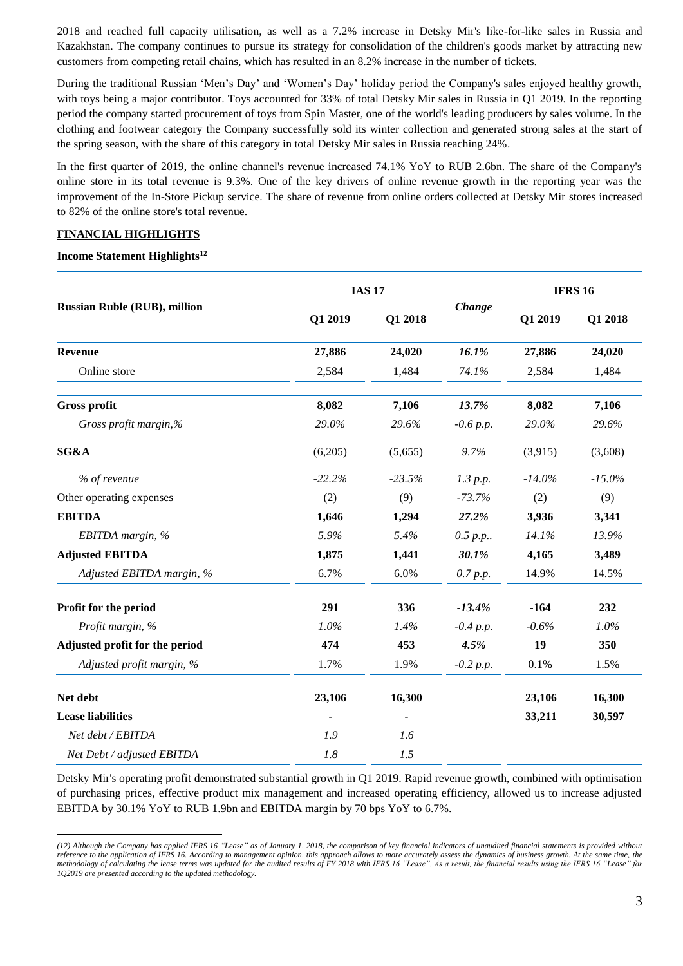2018 and reached full capacity utilisation, as well as a 7.2% increase in Detsky Mir's like-for-like sales in Russia and Kazakhstan. The company continues to pursue its strategy for consolidation of the children's goods market by attracting new customers from competing retail chains, which has resulted in an 8.2% increase in the number of tickets.

During the traditional Russian 'Men's Day' and 'Women's Day' holiday period the Company's sales enjoyed healthy growth, with toys being a major contributor. Toys accounted for 33% of total Detsky Mir sales in Russia in Q1 2019. In the reporting period the company started procurement of toys from Spin Master, one of the world's leading producers by sales volume. In the clothing and footwear category the Company successfully sold its winter collection and generated strong sales at the start of the spring season, with the share of this category in total Detsky Mir sales in Russia reaching 24%.

In the first quarter of 2019, the online channel's revenue increased 74.1% YoY to RUB 2.6bn. The share of the Company's online store in its total revenue is 9.3%. One of the key drivers of online revenue growth in the reporting year was the improvement of the In-Store Pickup service. The share of revenue from online orders collected at Detsky Mir stores increased to 82% of the online store's total revenue.

# **FINANCIAL HIGHLIGHTS**

# **Income Statement Highlights<sup>12</sup>**

 $\overline{a}$ 

|                                     |          | <b>IAS 17</b> |             | <b>IFRS 16</b> |           |
|-------------------------------------|----------|---------------|-------------|----------------|-----------|
| <b>Russian Ruble (RUB), million</b> | Q1 2019  | Q1 2018       | Change      | Q1 2019        | Q1 2018   |
| <b>Revenue</b>                      | 27,886   | 24,020        | 16.1%       | 27,886         | 24,020    |
| Online store                        | 2,584    | 1,484         | 74.1%       | 2,584          | 1,484     |
| <b>Gross profit</b>                 | 8,082    | 7,106         | 13.7%       | 8,082          | 7,106     |
| Gross profit margin,%               | 29.0%    | 29.6%         | $-0.6 p.p.$ | 29.0%          | 29.6%     |
| SG&A                                | (6,205)  | (5,655)       | 9.7%        | (3,915)        | (3,608)   |
| % of revenue                        | $-22.2%$ | $-23.5%$      | 1.3 p.p.    | $-14.0\%$      | $-15.0\%$ |
| Other operating expenses            | (2)      | (9)           | $-73.7%$    | (2)            | (9)       |
| <b>EBITDA</b>                       | 1,646    | 1,294         | 27.2%       | 3,936          | 3,341     |
| EBITDA margin, %                    | 5.9%     | 5.4%          | 0.5 p.p.    | 14.1%          | 13.9%     |
| <b>Adjusted EBITDA</b>              | 1,875    | 1,441         | 30.1%       | 4,165          | 3,489     |
| Adjusted EBITDA margin, %           | 6.7%     | 6.0%          | 0.7 p.p.    | 14.9%          | 14.5%     |
| Profit for the period               | 291      | 336           | $-13.4%$    | $-164$         | 232       |
| Profit margin, %                    | 1.0%     | 1.4%          | $-0.4 p.p.$ | $-0.6%$        | $1.0\%$   |
| Adjusted profit for the period      | 474      | 453           | 4.5%        | 19             | 350       |
| Adjusted profit margin, %           | 1.7%     | 1.9%          | $-0.2 p.p.$ | 0.1%           | 1.5%      |
| Net debt                            | 23,106   | 16,300        |             | 23,106         | 16,300    |
| <b>Lease liabilities</b>            |          |               |             | 33,211         | 30,597    |
| Net debt / EBITDA                   | 1.9      | 1.6           |             |                |           |
| Net Debt / adjusted EBITDA          | 1.8      | 1.5           |             |                |           |

Detsky Mir's operating profit demonstrated substantial growth in Q1 2019. Rapid revenue growth, combined with optimisation of purchasing prices, effective product mix management and increased operating efficiency, allowed us to increase adjusted EBITDA by 30.1% YoY to RUB 1.9bn and EBITDA margin by 70 bps YoY to 6.7%.

*<sup>(12)</sup> Although the Company has applied IFRS 16 "Lease" as of January 1, 2018, the comparison of key financial indicators of unaudited financial statements is provided without reference to the application of IFRS 16. According to management opinion, this approach allows to more accurately assess the dynamics of business growth. At the same time, the methodology of calculating the lease terms was updated for the audited results of FY 2018 with IFRS 16 "Lease". As a result, the financial results using the IFRS 16 "Lease" for 1Q2019 are presented according to the updated methodology.*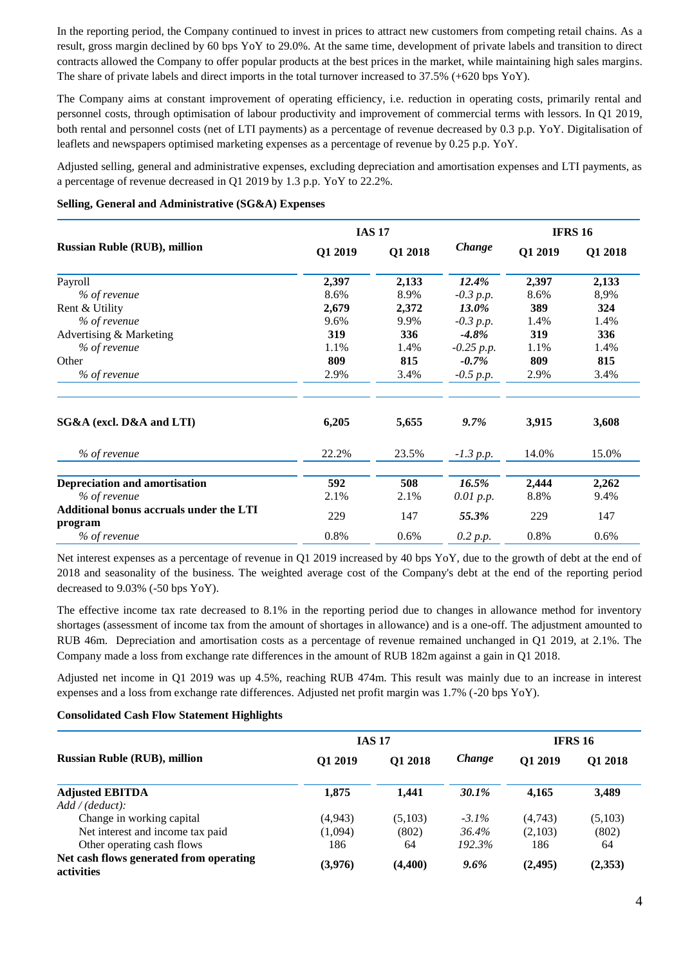In the reporting period, the Company continued to invest in prices to attract new customers from competing retail chains. As a result, gross margin declined by 60 bps YoY to 29.0%. At the same time, development of private labels and transition to direct contracts allowed the Company to offer popular products at the best prices in the market, while maintaining high sales margins. The share of private labels and direct imports in the total turnover increased to 37.5% (+620 bps YoY).

The Company aims at constant improvement of operating efficiency, i.e. reduction in operating costs, primarily rental and personnel costs, through optimisation of labour productivity and improvement of commercial terms with lessors. In Q1 2019, both rental and personnel costs (net of LTI payments) as a percentage of revenue decreased by 0.3 p.p. YoY. Digitalisation of leaflets and newspapers optimised marketing expenses as a percentage of revenue by 0.25 p.p. YoY.

Adjusted selling, general and administrative expenses, excluding depreciation and amortisation expenses and LTI payments, as a percentage of revenue decreased in Q1 2019 by 1.3 p.p. YoY to 22.2%.

|                                                | <b>IAS 17</b> |         |              | <b>IFRS 16</b> |         |
|------------------------------------------------|---------------|---------|--------------|----------------|---------|
| <b>Russian Ruble (RUB), million</b>            | Q1 2019       | Q1 2018 | Change       | Q1 2019        | Q1 2018 |
| Payroll                                        | 2,397         | 2,133   | 12.4%        | 2,397          | 2,133   |
| % of revenue                                   | 8.6%          | 8.9%    | $-0.3$ p.p.  | 8.6%           | 8,9%    |
| Rent & Utility                                 | 2,679         | 2,372   | <b>13.0%</b> | 389            | 324     |
| % of revenue                                   | 9.6%          | 9.9%    | $-0.3$ p.p.  | 1.4%           | 1.4%    |
| Advertising & Marketing                        | 319           | 336     | $-4.8\%$     | 319            | 336     |
| % of revenue                                   | 1.1%          | 1.4%    | $-0.25 p.p.$ | 1.1%           | 1.4%    |
| Other                                          | 809           | 815     | $-0.7\%$     | 809            | 815     |
| % of revenue                                   | 2.9%          | 3.4%    | $-0.5 p.p.$  | 2.9%           | 3.4%    |
| SG&A (excl. D&A and LTI)                       | 6,205         | 5,655   | $9.7\%$      | 3,915          | 3,608   |
| % of revenue                                   | 22.2%         | 23.5%   | $-1.3 p.p.$  | 14.0%          | 15.0%   |
| <b>Depreciation and amortisation</b>           | 592           | 508     | 16.5%        | 2,444          | 2,262   |
| % of revenue                                   | 2.1%          | 2.1%    | 0.01 p.p.    | 8.8%           | 9.4%    |
| <b>Additional bonus accruals under the LTI</b> |               |         |              |                |         |
| program                                        | 229           | 147     | 55.3%        | 229            | 147     |
| % of revenue                                   | 0.8%          | 0.6%    | 0.2 p.p.     | 0.8%           | 0.6%    |

#### **Selling, General and Administrative (SG&A) Expenses**

Net interest expenses as a percentage of revenue in Q1 2019 increased by 40 bps YoY, due to the growth of debt at the end of 2018 and seasonality of the business. The weighted average cost of the Company's debt at the end of the reporting period decreased to 9.03% (-50 bps YoY).

The effective income tax rate decreased to 8.1% in the reporting period due to changes in allowance method for inventory shortages (assessment of income tax from the amount of shortages in allowance) and is a one-off. The adjustment amounted to RUB 46m. Depreciation and amortisation costs as a percentage of revenue remained unchanged in Q1 2019, at 2.1%. The Company made a loss from exchange rate differences in the amount of RUB 182m against a gain in Q1 2018.

Adjusted net income in Q1 2019 was up 4.5%, reaching RUB 474m. This result was mainly due to an increase in interest expenses and a loss from exchange rate differences. Adjusted net profit margin was 1.7% (-20 bps YoY).

# **Consolidated Cash Flow Statement Highlights**

|                                                       |         | <b>IAS 17</b> |          | <b>IFRS 16</b> |                |
|-------------------------------------------------------|---------|---------------|----------|----------------|----------------|
| <b>Russian Ruble (RUB), million</b>                   | Q1 2019 | Q1 2018       | Change   | O1 2019        | <b>O1 2018</b> |
| <b>Adjusted EBITDA</b>                                | 1,875   | 1.441         | 30.1%    | 4,165          | 3,489          |
| Add / (deduct):                                       |         |               |          |                |                |
| Change in working capital                             | (4,943) | (5,103)       | $-3.1\%$ | (4,743)        | (5,103)        |
| Net interest and income tax paid                      | (1,094) | (802)         | 36.4%    | (2,103)        | (802)          |
| Other operating cash flows                            | 186     | 64            | 192.3%   | 186            | 64             |
| Net cash flows generated from operating<br>activities | (3,976) | (4,400)       | $9.6\%$  | (2, 495)       | (2,353)        |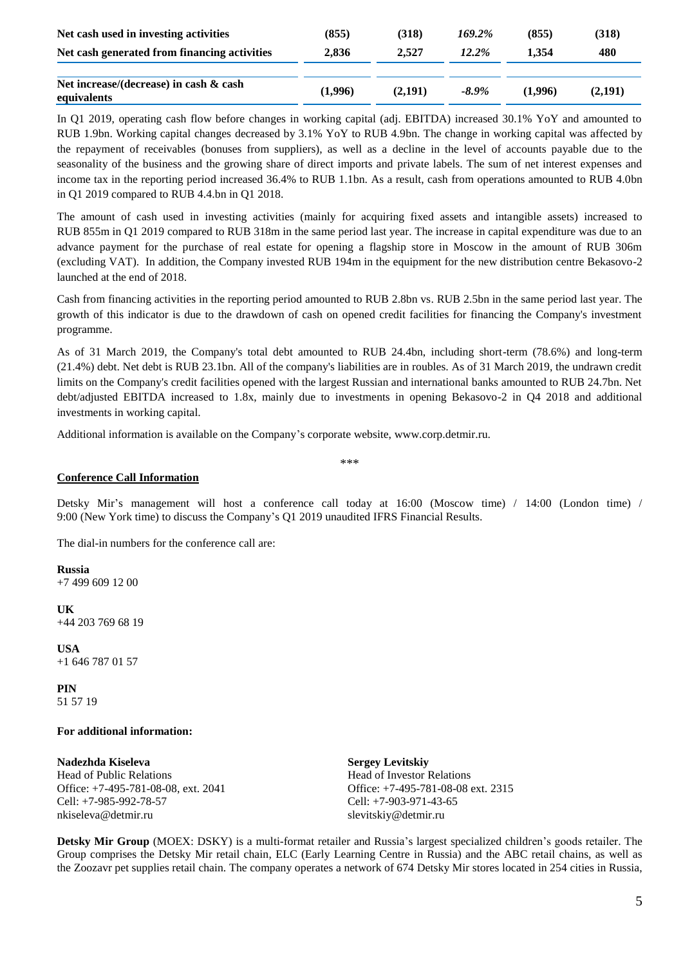| Net cash used in investing activities                 | (855)   | (318)   | 169.2%   | (855)   | (318)   |
|-------------------------------------------------------|---------|---------|----------|---------|---------|
| Net cash generated from financing activities          | 2.836   | 2.527   | $12.2\%$ | 1.354   | 480     |
|                                                       |         |         |          |         |         |
| Net increase/(decrease) in cash & cash<br>equivalents | (1,996) | (2,191) | $-8.9\%$ | (1.996) | (2,191) |

In Q1 2019, operating cash flow before changes in working capital (adj. EBITDA) increased 30.1% YoY and amounted to RUB 1.9bn. Working capital changes decreased by 3.1% YoY to RUB 4.9bn. The change in working capital was affected by the repayment of receivables (bonuses from suppliers), as well as a decline in the level of accounts payable due to the seasonality of the business and the growing share of direct imports and private labels. The sum of net interest expenses and income tax in the reporting period increased 36.4% to RUB 1.1bn. As a result, cash from operations amounted to RUB 4.0bn in Q1 2019 compared to RUB 4.4.bn in Q1 2018.

The amount of cash used in investing activities (mainly for acquiring fixed assets and intangible assets) increased to RUB 855m in Q1 2019 compared to RUB 318m in the same period last year. The increase in capital expenditure was due to an advance payment for the purchase of real estate for opening a flagship store in Moscow in the amount of RUB 306m (excluding VAT). In addition, the Company invested RUB 194m in the equipment for the new distribution centre Bekasovo-2 launched at the end of 2018.

Cash from financing activities in the reporting period amounted to RUB 2.8bn vs. RUB 2.5bn in the same period last year. The growth of this indicator is due to the drawdown of cash on opened credit facilities for financing the Company's investment programme.

As of 31 March 2019, the Company's total debt amounted to RUB 24.4bn, including short-term (78.6%) and long-term (21.4%) debt. Net debt is RUB 23.1bn. All of the company's liabilities are in roubles. As of 31 March 2019, the undrawn credit limits on the Company's credit facilities opened with the largest Russian and international banks amounted to RUB 24.7bn. Net debt/adjusted EBITDA increased to 1.8x, mainly due to investments in opening Bekasovo-2 in Q4 2018 and additional investments in working capital.

Additional information is available on the Company's corporate website, www.corp.detmir.ru.

\*\*\*

# **Conference Call Information**

Detsky Mir's management will host a conference call today at 16:00 (Moscow time) / 14:00 (London time) / 9:00 (New York time) to discuss the Company's Q1 2019 unaudited IFRS Financial Results.

The dial-in numbers for the conference call are:

**Russia**  +7 499 609 12 00

**UK** +44 203 769 68 19

**USA** +1 646 787 01 57

**PIN** 51 57 19

#### **For additional information:**

**Nadezhda Kiseleva** Head of Public Relations Office: +7-495-781-08-08, ext. 2041 Cell: +7-985-992-78-57 nkiseleva@detmir.ru

**Sergey Levitskiy** Head of Investor Relations Office: +7-495-781-08-08 ext. 2315 Cell: +7-903-971-43-65 slevitskiy@detmir.ru

**Detsky Mir Group** (MOEX: DSKY) is a multi-format retailer and Russia's largest specialized children's goods retailer. The Group comprises the Detsky Mir retail chain, ELC (Early Learning Centre in Russia) and the ABC retail chains, as well as the Zoozavr pet supplies retail chain. The company operates a network of 674 Detsky Mir stores located in 254 cities in Russia,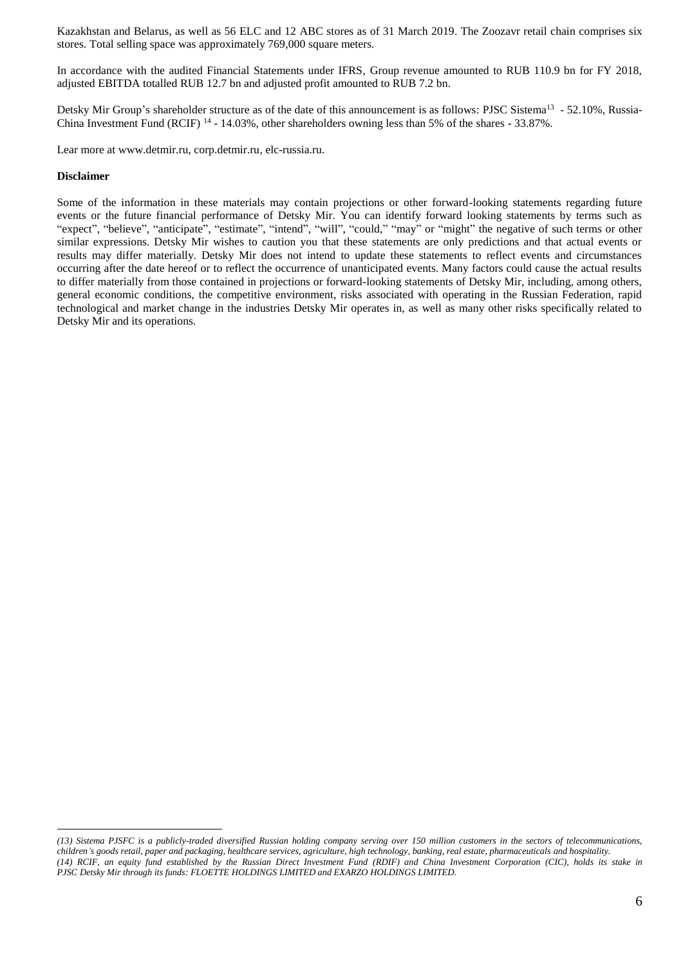Kazakhstan and Belarus, as well as 56 ELC and 12 ABC stores as of 31 March 2019. The Zoozavr retail chain comprises six stores. Total selling space was approximately 769,000 square meters.

In accordance with the audited Financial Statements under IFRS, Group revenue amounted to RUB 110.9 bn for FY 2018, adjusted EBITDA totalled RUB 12.7 bn and adjusted profit amounted to RUB 7.2 bn.

Detsky Mir Group's shareholder structure as of the date of this announcement is as follows: PJSC Sistema<sup>13</sup> - 52.10%, Russia-China Investment Fund (RCIF)  $^{14}$  - 14.03%, other shareholders owning less than 5% of the shares - 33.87%.

Lear more at www.detmir.ru, corp.detmir.ru, elc-russia.ru.

# **Disclaimer**

 $\overline{a}$ 

Some of the information in these materials may contain projections or other forward-looking statements regarding future events or the future financial performance of Detsky Mir. You can identify forward looking statements by terms such as "expect", "believe", "anticipate", "estimate", "intend", "will", "could," "may" or "might" the negative of such terms or other similar expressions. Detsky Mir wishes to caution you that these statements are only predictions and that actual events or results may differ materially. Detsky Mir does not intend to update these statements to reflect events and circumstances occurring after the date hereof or to reflect the occurrence of unanticipated events. Many factors could cause the actual results to differ materially from those contained in projections or forward-looking statements of Detsky Mir, including, among others, general economic conditions, the competitive environment, risks associated with operating in the Russian Federation, rapid technological and market change in the industries Detsky Mir operates in, as well as many other risks specifically related to Detsky Mir and its operations.

*<sup>(13)</sup> Sistema PJSFC is a publicly-traded diversified Russian holding company serving over 150 million customers in the sectors of telecommunications, children's goods retail, paper and packaging, healthcare services, agriculture, high technology, banking, real estate, pharmaceuticals and hospitality. (14) RCIF, an equity fund established by the Russian Direct Investment Fund (RDIF) and China Investment Corporation (CIC), holds its stake in PJSC Detsky Mir through its funds: FLOETTE HOLDINGS LIMITED and EXARZO HOLDINGS LIMITED.*